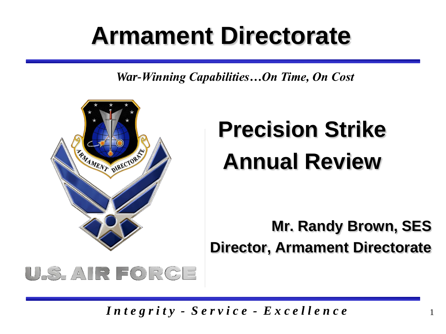# **Armament Directorate**

*War-Winning Capabilities…On Time, On Cost*



# **Precision Strike Annual Review**

**Mr. Randy Brown, SES Director, Armament Directorate**

1

### U.S. AIR FORCE

*I n t e g r i t y - S e r v i c e - E x c e l l e n c e*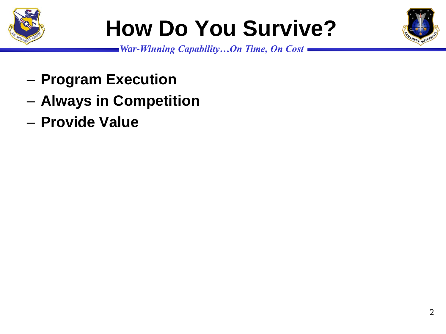

# **How Do You Survive?**



- **Program Execution**
- **Always in Competition**
- **Provide Value**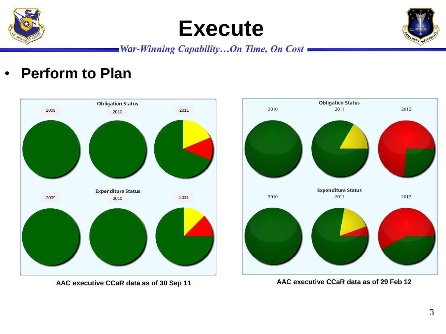





#### *War-Winning Capability…On Time, On Cost*

• **Perform to Plan**





**AAC executive CCaR data as of 30 Sep 11 AAC executive CCaR data as of 29 Feb 12**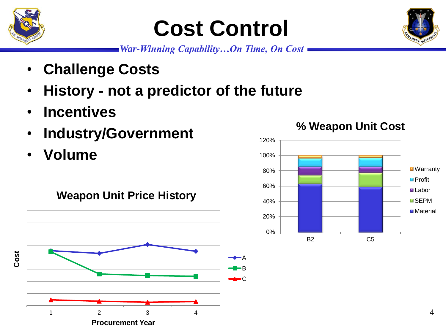

## **Cost Control**

*War-Winning Capability…On Time, On Cost*

- **Challenge Costs**
- **History - not a predictor of the future**
- **Incentives**
- **Industry/Government**
- **Volume**



### **% Weapon Unit Cost**



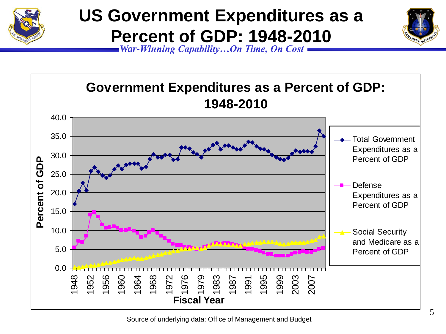

### **US Government Expenditures as a Percent of GDP: 1948-2010**



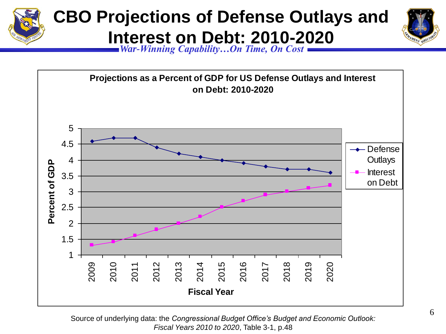



Source of underlying data: the *Congressional Budget Office's Budget and Economic Outlook: Fiscal Years 2010 to 2020*, Table 3-1, p.48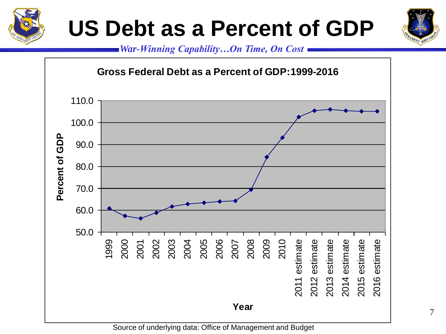

## **US Debt as a Percent of GDP**





Source of underlying data: Office of Management and Budget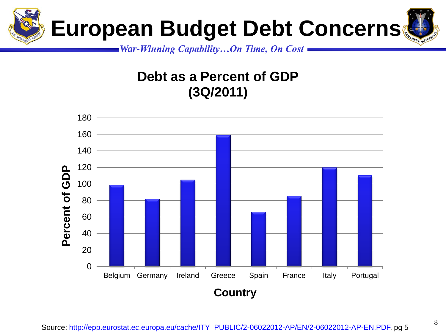

*War-Winning Capability…On Time, On Cost*

### **Debt as a Percent of GDP (3Q/2011)**

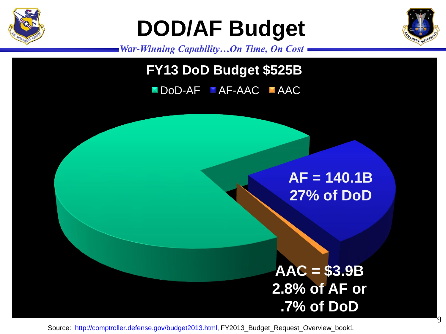

## **DOD/AF Budget**



9

*War-Winning Capability…On Time, On Cost*

### **FY13 DoD Budget \$525B FY13 DoD Budget \$525B**

### DoD-AF AF-AAC AAC

### **AF = 140.1B 27% of DoD 27% of DoD**

**AAC = \$3.9B 2.8% of AF or .7% of DoD**

Source: [http://comptroller.defense.gov/budget2013.html,](http://comptroller.defense.gov/budget2013.html) FY2013\_Budget\_Request\_Overview\_book1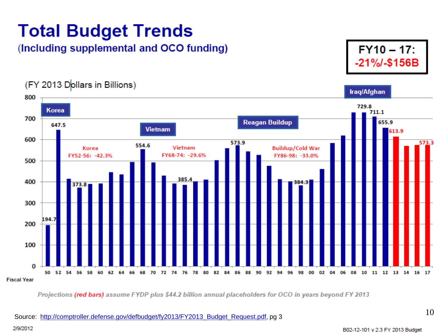### **Total Budget Trends**

#### *(Including supplemental and OCO funding)*

 $FY10 - 17$ : -21%/-\$156B

(FY 2013 Dollars in Billions) Iraq/Afghan 800 729.8 Korea 711.1 700 **Reagan Buildup** 655.9 647.5 **Vietnam** 613.9 600 573.9 573.3 554.6 Vietnam **Buildup/Cold War** Korea FY68-74: -29.6% FY52-56: -42.3% FY86-98: -33.0% 500 385.4 400 373.8 300 194.7 200 100  $\Omega$ 82 84 50 52 54 56 58 60 62 64 66 68 70 72 74 76 78 80 86 88 90 92 94 96 98 00 02 04 06 08 10 11 12 13 14 16 17 **Fiscal Year** 

Projections (red bars) assume FYDP plus \$44.2 billion annual placeholders for OCO in years beyond FY 2013

2/9/2012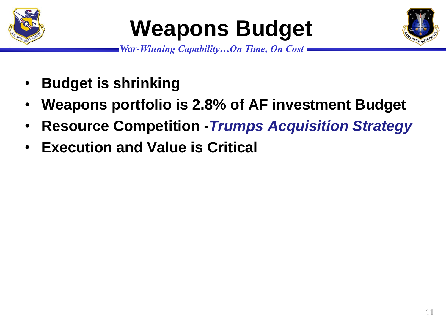

## **Weapons Budget**



- **Budget is shrinking**
- **Weapons portfolio is 2.8% of AF investment Budget**
- **Resource Competition -***Trumps Acquisition Strategy*
- **Execution and Value is Critical**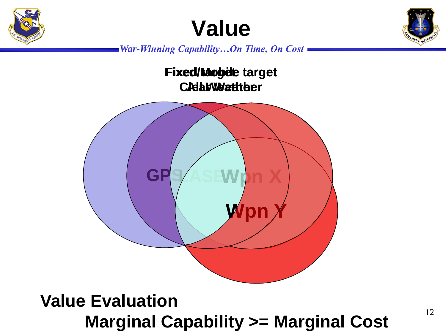





*War-Winning Capability…On Time, On Cost*

**Fixed/Mobile target Fixed/Mobile target Fixed targetClear Weather All Weather**



### **Value Evaluation Marginal Capability >= Marginal Cost**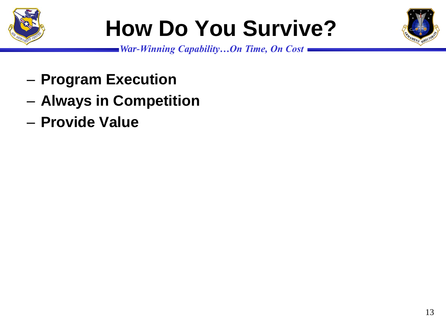

# **How Do You Survive?**



- **Program Execution**
- **Always in Competition**
- **Provide Value**